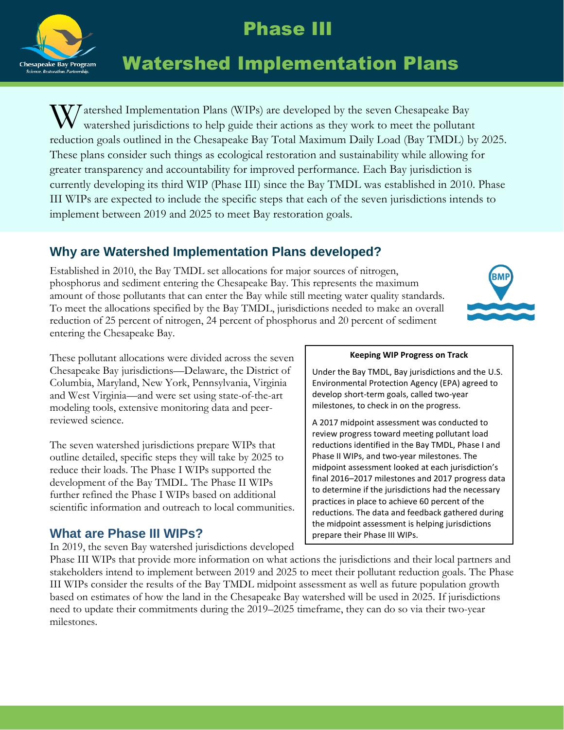

## Phase III

# Watershed Implementation Plans

W atershed Implementation Plans (WIPs) are developed by the seven Chesapeake Bay watershed jurisdictions to help guide their actions as they work to meet the pollutan watershed jurisdictions to help guide their actions as they work to meet the pollutant reduction goals outlined in the Chesapeake Bay Total Maximum Daily Load (Bay TMDL) by 2025. These plans consider such things as ecological restoration and sustainability while allowing for greater transparency and accountability for improved performance. Each Bay jurisdiction is currently developing its third WIP (Phase III) since the Bay TMDL was established in 2010. Phase III WIPs are expected to include the specific steps that each of the seven jurisdictions intends to implement between 2019 and 2025 to meet Bay restoration goals.

## **Why are Watershed Implementation Plans developed?**

Established in 2010, the Bay TMDL set allocations for major sources of nitrogen, phosphorus and sediment entering the Chesapeake Bay. This represents the maximum amount of those pollutants that can enter the Bay while still meeting water quality standards. To meet the allocations specified by the Bay TMDL, jurisdictions needed to make an overall reduction of 25 percent of nitrogen, 24 percent of phosphorus and 20 percent of sediment entering the Chesapeake Bay.



These pollutant allocations were divided across the seven Chesapeake Bay jurisdictions—Delaware, the District of Columbia, Maryland, New York, Pennsylvania, Virginia and West Virginia—and were set using state-of-the-art modeling tools, extensive monitoring data and peerreviewed science.

The seven watershed jurisdictions prepare WIPs that outline detailed, specific steps they will take by 2025 to reduce their loads. The Phase I WIPs supported the development of the Bay TMDL. The Phase II WIPs further refined the Phase I WIPs based on additional scientific information and outreach to local communities.

### **What are Phase III WIPs?**

In 2019, the seven Bay watershed jurisdictions developed

#### **Keeping WIP Progress on Track**

Under the Bay TMDL, Bay jurisdictions and the U.S. Environmental Protection Agency (EPA) agreed to develop short-term goals, called two-year milestones, to check in on the progress.

A 2017 midpoint assessment was conducted to review progress toward meeting pollutant load reductions identified in the Bay TMDL, Phase I and Phase II WIPs, and two-year milestones. The midpoint assessment looked at each jurisdiction's final 2016–2017 milestones and 2017 progress data to determine if the jurisdictions had the necessary practices in place to achieve 60 percent of the reductions. The data and feedback gathered during the midpoint assessment is helping jurisdictions prepare their Phase III WIPs.

Phase III WIPs that provide more information on what actions the jurisdictions and their local partners and stakeholders intend to implement between 2019 and 2025 to meet their pollutant reduction goals. The Phase III WIPs consider the results of the Bay TMDL midpoint assessment as well as future population growth based on estimates of how the land in the Chesapeake Bay watershed will be used in 2025. If jurisdictions need to update their commitments during the 2019–2025 timeframe, they can do so via their two-year milestones.